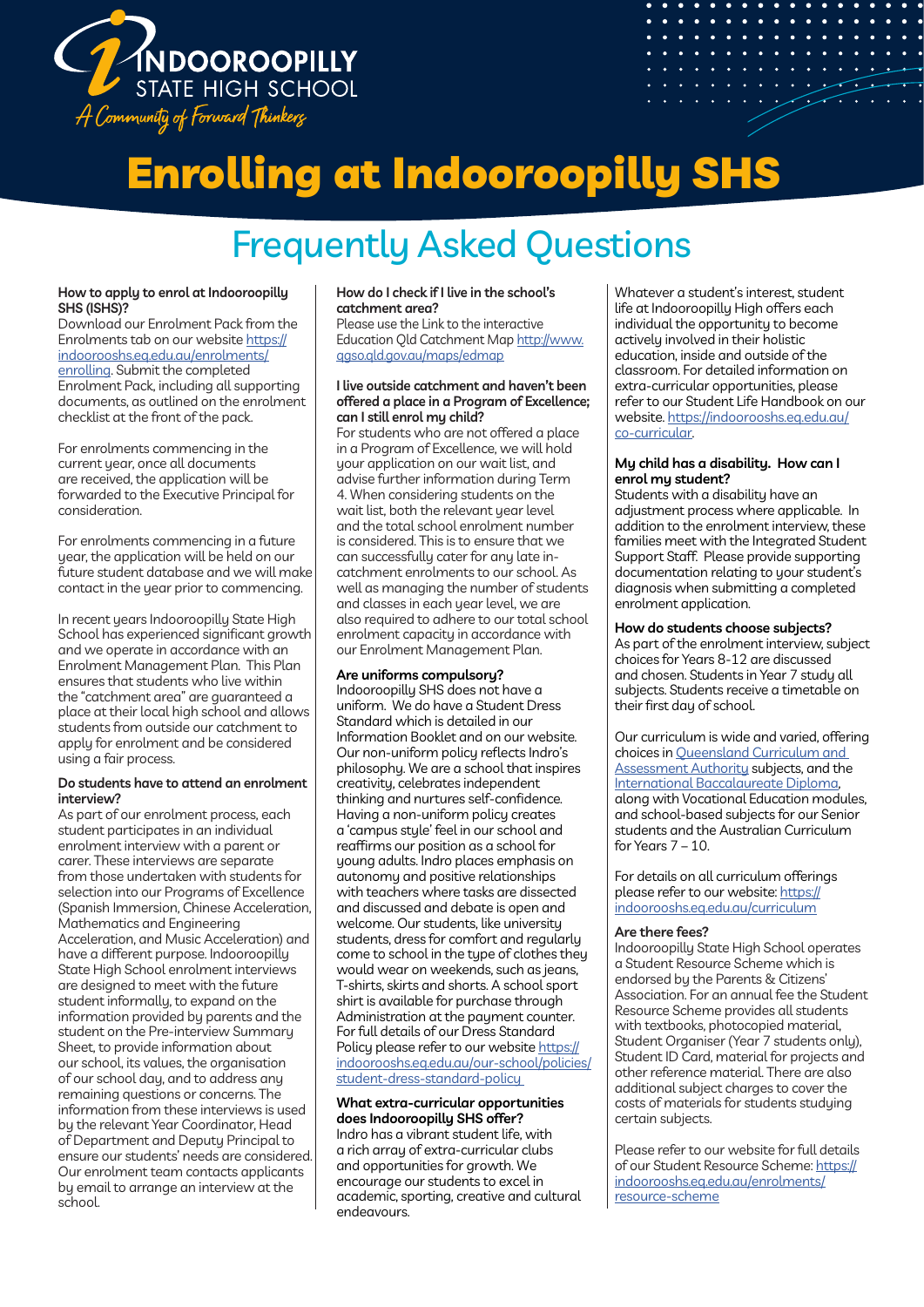

# Enrolling at Indooroopilly SHS

# Frequently Asked Questions

#### **How to apply to enrol at Indooroopilly SHS (ISHS)?**

Download our Enrolment Pack from the Enrolments tab on our website https:// indoorooshs.eq.edu.au/enrolments/ enrolling. Submit the completed Enrolment Pack, including all supporting documents, as outlined on the enrolment checklist at the front of the pack.

For enrolments commencing in the current year, once all documents are received, the application will be forwarded to the Executive Principal for consideration.

For enrolments commencing in a future year, the application will be held on our future student database and we will make contact in the year prior to commencing.

In recent years Indooroopilly State High School has experienced significant growth and we operate in accordance with an Enrolment Management Plan. This Plan ensures that students who live within the "catchment area" are guaranteed a place at their local high school and allows students from outside our catchment to apply for enrolment and be considered using a fair process.

#### **Do students have to attend an enrolment interview?**

As part of our enrolment process, each student participates in an individual enrolment interview with a parent or carer. These interviews are separate from those undertaken with students for selection into our Programs of Excellence (Spanish Immersion, Chinese Acceleration, Mathematics and Engineering Acceleration, and Music Acceleration) and have a different purpose. Indooroopilly State High School enrolment interviews are designed to meet with the future student informally, to expand on the information provided by parents and the student on the Pre-interview Summary Sheet, to provide information about our school, its values, the organisation of our school day, and to address any remaining questions or concerns. The information from these interviews is used by the relevant Year Coordinator, Head of Department and Deputy Principal to ensure our students' needs are considered. Our enrolment team contacts applicants by email to arrange an interview at the school.

#### **How do I check if I live in the school's catchment area?**

Please use the Link to the interactive Education Qld Catchment Map http://www. qgso.qld.gov.au/maps/edmap

### **I live outside catchment and haven't been offered a place in a Program of Excellence; can I still enrol my child?**

For students who are not offered a place in a Program of Excellence, we will hold your application on our wait list, and advise further information during Term 4. When considering students on the wait list, both the relevant year level and the total school enrolment number is considered. This is to ensure that we can successfully cater for any late incatchment enrolments to our school. As well as managing the number of students and classes in each year level, we are also required to adhere to our total school enrolment capacity in accordance with our Enrolment Management Plan.

# **Are uniforms compulsory?**

Indooroopilly SHS does not have a uniform. We do have a Student Dress Standard which is detailed in our Information Booklet and on our website. Our non-uniform policy reflects Indro's philosophy. We are a school that inspires creativity, celebrates independent thinking and nurtures self-confidence. Having a non-uniform policy creates a 'campus style' feel in our school and reaffirms our position as a school for young adults. Indro places emphasis on autonomy and positive relationships with teachers where tasks are dissected and discussed and debate is open and welcome. Our students, like university students, dress for comfort and regularly come to school in the type of clothes they would wear on weekends, such as jeans, T-shirts, skirts and shorts. A school sport shirt is available for purchase through Administration at the payment counter. For full details of our Dress Standard Policy please refer to our website https:// indoorooshs.eq.edu.au/our-school/policies/ student-dress-standard-policy

#### **What extra-curricular opportunities does Indooroopilly SHS offer?**

Indro has a vibrant student life, with a rich array of extra-curricular clubs and opportunities for growth. We encourage our students to excel in academic, sporting, creative and cultural endeavours.

Whatever a student's interest, student life at Indooroopilly High offers each individual the opportunity to become actively involved in their holistic education, inside and outside of the classroom. For detailed information on extra-curricular opportunities, please refer to our Student Life Handbook on our website. https://indoorooshs.eq.edu.au/ co-curricular.

#### **My child has a disability. How can I enrol my student?**

Students with a disability have an adjustment process where applicable. In addition to the enrolment interview, these families meet with the Integrated Student Support Staff. Please provide supporting documentation relating to your student's diagnosis when submitting a completed enrolment application.

# **How do students choose subjects?**

As part of the enrolment interview, subject choices for Years 8-12 are discussed and chosen. Students in Year 7 study all subjects. Students receive a timetable on their first day of school.

Our curriculum is wide and varied, offering choices in Queensland Curriculum and **Assessment Authority subjects, and the** International Baccalaureate Diploma, along with Vocational Education modules, and school-based subjects for our Senior students and the Australian Curriculum for Years 7 – 10.

For details on all curriculum offerings please refer to our website: https:// indoorooshs.eq.edu.au/curriculum

# **Are there fees?**

Indooroopilly State High School operates a Student Resource Scheme which is endorsed by the Parents & Citizens' Association. For an annual fee the Student Resource Scheme provides all students with textbooks, photocopied material, Student Organiser (Year 7 students only), Student ID Card, material for projects and other reference material. There are also additional subject charges to cover the costs of materials for students studying certain subjects.

Please refer to our website for full details of our Student Resource Scheme: https:// indoorooshs.eq.edu.au/enrolments/ resource-scheme